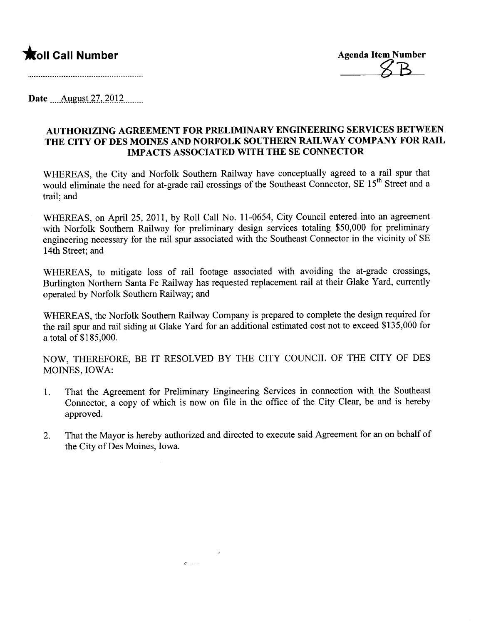## **\***Oll Call Number Agenda Item Number



Date <u>August 27, 2012</u>........

## AUTHORIZING AGREEMENT FOR PRELIMINARY ENGINEERING SERVICES BETWEEN THE CITY OF DES MOINES AND NORFOLK SOUTHERN RAILWAY COMPANY FOR RAIL IMP ACTS ASSOCIATED WITH THE SE CONNECTOR

WHEREAS, the City and Norfolk Southern Railway have conceptually agreed to a rail spur that would eliminate the need for at-grade rail crossings of the Southeast Connector, SE 15<sup>th</sup> Street and a trail; and

WHEREAS, on April 25, 2011, by Roll Call No. 11-0654, City Council entered into an agreement with Norfolk Southern Railway for preliminary design services totaling \$50,000 for preliminary engineering necessary for the rail spur associated with the Southeast Connector in the vicinity of SE 14th Street; and

WHEREAS, to mitigate loss of rail footage associated with avoiding the at-grade crossings, Burlington Northern Santa Fe Railway has requested replacement rail at their Glake Yard, currently operated by Norfolk Southern Railway; and

WHEREAS, the Norfolk Southern Railway Company is prepared to complete the design required for the rail spur and rail siding at Glake Yard for an additional estimated cost not to exceed \$135,000 for a total of \$185,000.

NOW, THEREFORE, BE IT RESOLVED BY THE CITY COUNCIL OF THE CITY OF DES MOINES, IOWA:

- 1. That the Agreement for Preliminary Engineering Services in connection with the Southeast Connector, a copy of which is now on fie in the office of the City Clear, be and is hereby approved.
- 2. That the Mayor is hereby authorized and directed to execute said Agreement for an on behalf of the City of Des Moines, Iowa.

 $\mathbf{r}$  and  $\mathbf{r}$